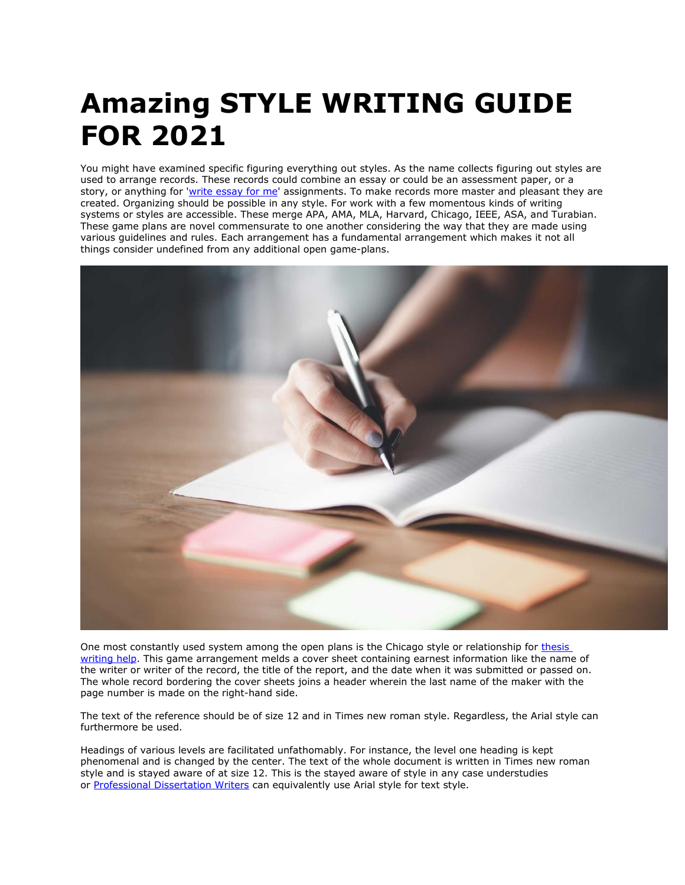## **Amazing STYLE WRITING GUIDE FOR 2021**

You might have examined specific figuring everything out styles. As the name collects figuring out styles are used to arrange records. These records could combine an essay or could be an assessment paper, or a story, or anything for ['write essay for me'](https://www.writemyessay.help/) assignments. To make records more master and pleasant they are created. Organizing should be possible in any style. For work with a few momentous kinds of writing systems or styles are accessible. These merge APA, AMA, MLA, Harvard, Chicago, IEEE, ASA, and Turabian. These game plans are novel commensurate to one another considering the way that they are made using various guidelines and rules. Each arrangement has a fundamental arrangement which makes it not all things consider undefined from any additional open game-plans.



One most constantly used system among the open plans is the Chicago style or relationship for [thesis](https://www.gradschoolgenius.com/thesis-writing-service)  [writing help.](https://www.gradschoolgenius.com/thesis-writing-service) This game arrangement melds a cover sheet containing earnest information like the name of the writer or writer of the record, the title of the report, and the date when it was submitted or passed on. The whole record bordering the cover sheets joins a header wherein the last name of the maker with the page number is made on the right-hand side.

The text of the reference should be of size 12 and in Times new roman style. Regardless, the Arial style can furthermore be used.

Headings of various levels are facilitated unfathomably. For instance, the level one heading is kept phenomenal and is changed by the center. The text of the whole document is written in Times new roman style and is stayed aware of at size 12. This is the stayed aware of style in any case understudies or [Professional Dissertation Writers](https://www.gradschoolgenius.com/professional-dissertation-writers) can equivalently use Arial style for text style.